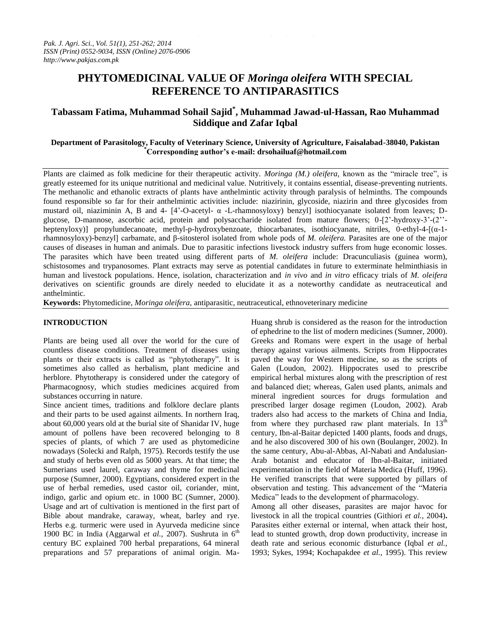# **PHYTOMEDICINAL VALUE OF** *Moringa oleifera* **WITH SPECIAL REFERENCE TO ANTIPARASITICS**

## **Tabassam Fatima, Muhammad Sohail Sajid\* , Muhammad Jawad-ul-Hassan, Rao Muhammad Siddique and Zafar Iqbal**

## **Department of Parasitology, Faculty of Veterinary Science, University of Agriculture, Faisalabad-38040, Pakistan \*Corresponding author's e-mail: drsohailuaf@hotmail.com**

Plants are claimed as folk medicine for their therapeutic activity. *Moringa (M.) oleifera,* known as the "miracle tree", is greatly esteemed for its unique nutritional and medicinal value. Nutritively, it contains essential, disease-preventing nutrients. The methanolic and ethanolic extracts of plants have anthelmintic activity through paralysis of helminths. The compounds found responsible so far for their anthelmintic activities include: niazirinin, glycoside, niazirin and three glycosides from mustard oil, niaziminin A, B and 4- [4'-O-acetyl-  $\alpha$  -L-rhamnosyloxy) benzyl] isothiocyanate isolated from leaves; Dglucose, D-mannose, ascorbic acid, protein and polysaccharide isolated from mature flowers; 0-[2'-hydroxy-3'-(2'' heptenyloxy)] propylundecanoate, methyl-p-hydroxybenzoate, thiocarbanates, isothiocyanate, nitriles, 0-ethyl-4-[(α-1 rhamnosyloxy)-benzyl] carbamate, and β-sitosterol isolated from whole pods of *M. oleifera.* Parasites are one of the major causes of diseases in human and animals. Due to parasitic infections livestock industry suffers from huge economic losses. The parasites which have been treated using different parts of *M. oleifera* include: Dracunculiasis (guinea worm), schistosomes and trypanosomes. Plant extracts may serve as potential candidates in future to exterminate helminthiasis in human and livestock populations. Hence, isolation, characterization and *in vivo* and *in vitro* efficacy trials of *M. oleifera* derivatives on scientific grounds are direly needed to elucidate it as a noteworthy candidate as neutraceutical and anthelmintic.

**Keywords:** Phytomedicine, *Moringa oleifera,* antiparasitic, neutraceutical, ethnoveterinary medicine

#### **INTRODUCTION**

Plants are being used all over the world for the cure of countless disease conditions. Treatment of diseases using plants or their extracts is called as "phytotherapy". It is sometimes also called as herbalism, plant medicine and herblore. Phytotherapy is considered under the category of Pharmacognosy, which studies medicines acquired from substances occurring in nature.

Since ancient times, traditions and folklore declare plants and their parts to be used against ailments. In northern Iraq, about 60,000 years old at the burial site of Shanidar IV, huge amount of pollens have been recovered belonging to 8 species of plants, of which 7 are used as phytomedicine nowadays (Solecki and Ralph, 1975). Records testify the use and study of herbs even old as 5000 years. At that time; the Sumerians used laurel, caraway and thyme for medicinal purpose (Sumner, 2000). Egyptians, considered expert in the use of herbal remedies, used castor oil, coriander, mint, indigo, garlic and opium etc. in 1000 BC (Sumner, 2000). Usage and art of cultivation is mentioned in the first part of Bible about mandrake, caraway, wheat, barley and rye. Herbs e.g. turmeric were used in Ayurveda medicine since 1900 BC in India (Aggarwal *et al.*, 2007). Sushruta in  $6<sup>th</sup>$ century BC explained 700 herbal preparations, 64 mineral preparations and 57 preparations of animal origin. MaHuang shrub is considered as the reason for the introduction of ephedrine to the list of modern medicines (Sumner, 2000). Greeks and Romans were expert in the usage of herbal therapy against various ailments. Scripts from Hippocrates paved the way for Western medicine, so as the scripts of Galen (Loudon, 2002). Hippocrates used to prescribe empirical herbal mixtures along with the prescription of rest and balanced diet; whereas, Galen used plants, animals and mineral ingredient sources for drugs formulation and prescribed larger dosage regimen (Loudon, 2002). Arab traders also had access to the markets of China and India, from where they purchased raw plant materials. In  $13<sup>th</sup>$ century, Ibn-al-Baitar depicted 1400 plants, foods and drugs, and he also discovered 300 of his own (Boulanger, 2002). In the same century, Abu-al-Abbas, Al-Nabati and Andalusian-Arab botanist and educator of Ibn-al-Baitar, initiated experimentation in the field of Materia Medica (Huff, 1996). He verified transcripts that were supported by pillars of observation and testing. This advancement of the "Materia Medica" leads to the development of pharmacology.

Among all other diseases, parasites are major havoc for livestock in all the tropical countries (Githiori *et al.,* 2004)**.**  Parasites either external or internal, when attack their host, lead to stunted growth, drop down productivity, increase in death rate and serious economic disturbance (Iqbal *et al.,*  1993; Sykes, 1994; Kochapakdee *et al.,* 1995). This review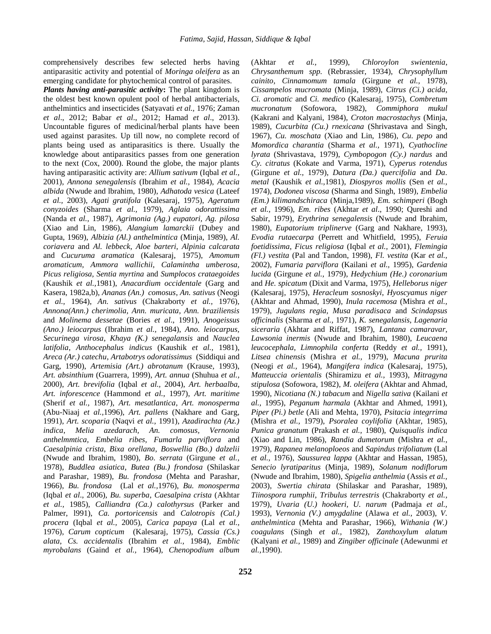comprehensively describes few selected herbs having antiparasitic activity and potential of *Moringa oleifera* as an emerging candidate for phytochemical control of parasites.

*Plants having anti-parasitic activity***:** The plant kingdom is the oldest best known opulent pool of herbal antibacterials, anthelmintics and insecticides (Satyavati *et al.,* 1976; Zaman *et al*., 2012; Babar *et al*., 2012; Hamad *et al*., 2013). Uncountable figures of medicinal/herbal plants have been used against parasites. Up till now, no complete record of plants being used as antiparasitics is there. Usually the knowledge about antiparasitics passes from one generation to the next (Cox, 2000). Round the globe, the major plants having antiparasitic activity are: *Allium sativum* (Iqbal *et al.,*  2001), *Annona senegalensis* (Ibrahim *et al.,* 1984), *Acacia albida* (Nwude and lbrahim, 1980), *Adhatoda vesica* (Lateef *et al.,* 2003), *Agati gratifola* (Kalesaraj, 1975), *Ageratum conyzoides* (Sharma *et al.,* 1979), *Aglaia odorattissima* (Nanda *et al.,* 1987), *Agrimonia (Ag.) eupatori, Ag. pilosa*  (Xiao and Lin, 1986), *Alangium lamarckii* (Dubey and Gupta, 1969), *Albizia (Al.) anthelmintica* (Minja, 1989), *Al. coriavera* and *Al. lebbeck*, *Aloe barteri*, *Alpinia calcarata*  and *Cucuruma aramatica* (Kalesaraj, 1975), *Amomum aromaticum, Ammora wallichii, Calamintha umberosa, Picus religiosa, Sentia myrtina* and *Sumplocos crataegoides*  (Kaushik *et al.,*1981), *Anacardium occidentale* (Garg and Kasera, 1982a,b), *Ananas (An.) comosus*, *An. sativus* (Neogi *et al.,* 1964), *An. sativus* (Chakraborty *et al.,* 1976), *Annona(Ann.) cherimolia, Ann. muricata, Ann. braziliensis*  and *Molinema dessetae* (Bories *et al*., 1991), *Anogeissus (Ano.) leiocarpus* (Ibrahim *et al.,* 1984), *Ano. leiocarpus, Securinega virosa*, *Khaya (K.) senegalansis* and *Nauclea latifolia*, *Anthocephalus indicus* (Kaushik *et al.,* 1981), *Areca (Ar.) catechu*, *Artabotrys odoratissimus* (Siddiqui and Garg, 1990), *Artemisia (Art.) abrotanum* (Krause, 1993), *Art. absinthium* (Guarrera, 1999), *Art. annua* (Shuhua *et al.,*  2000), *Art. brevifolia* (Iqbal *et al.,* 2004), *Art. herbaalba*, *Art. inforescence* (Hammond *et al.*, 1997), *Art. maritime* (Sherif *et al.,* 1987), *Art. mesatlantica*, *Art. monosperma*  (Abu-Niaaj *et al.,*1996), *Art. pallens* (Nakhare and Garg, 1991), *Art. scoparia* (Naqvi *et al.,* 1991), *Azadirachta (Az.) indica*, *Melia azedarach, An. comosus, Vernonia anthelmmtica, Embelia ribes, Fumarla parviflora* and *Caesalpinia crista*, *Bixa orellana*, *Boswellia (Bo.) dalzelii*  (Nwude and Ibrahim, 1980), *Bo. serrata* (Girgune *et al.,*  1978), *Buddlea asiatica*, *Butea (Bu.) frondosa* (Shilaskar and Parashar, 1989), *Bu. frondosa* (Mehta and Parashar, 1966), *Bu. frondosa* (Lal *et al.,*1976), *Bu. monosperma*  (Iqbal *et al*., 2006), *Bu. superba*, *Caesalpina crista* (Akhtar *et al.,* 1985), *Calliandra (Ca.) calothyrsus* (Parker and Palmer, l991), *Ca. portoricensis* and *Calotropis (Cal.) procera* (Iqbal *et al.,* 2005), *Carica papaya* (Lal *et al.,*  1976), *Carum copticum* (Kalesaraj, 1975), *Cassia (Cs.) alata*, *Cs. accidentalis* (Ibrahim *et al.,* 1984), *Emblic myrobalans* (Gaind *et al.,* 1964), *Chenopodium album*

(Akhtar *et al.,* 1999), *Chloroylon swientenia*, *Chrysanthemum spp.* (Rebrassier, 1934), *Chrysophyllum cainito*, *Cinnamomum tamala* (Girgune *et al.,* 1978), *Cissampelos mucromata* (Minja, 1989), *Citrus (Ci.) acida, Ci. aromatic* and *Ci. medico* (Kalesaraj, 1975), *Combretum mucronatum* (Sofowora, 1982), *Commiphora mukul* (Kakrani and Kalyani, 1984), *Croton macrostachys* (Minja, 1989), *Cucurbita (Cu.) rnexicana* (Shrivastava and Singh, 1967), *Cu. moschata* (Xiao and Lin, 1986), *Cu. pepo* and *Momordica charantia* (Sharma *et al.,* 1971), *Cyathocline lyrata* (Shrivastava, 1979), *Cymbopogon (Cy.) nardus* and *Cy. citratus* (Kokate and Varma, 1971), *Cyperus rotendus*  (Girgune *et al.,* 1979), *Datura (Da.) quercifolia* and *Da. metal* (Kaushik *et al.,*1981), *Diospyros mollis* (Sen *et al.,*  1974), *Dodonea viscosa* (Sharma and Singh, 1989), *Embelia (Em.) kilimandschiraca* (Minja,1989), *Em. schimperi* (Bogh *et al.,* 1996), *Em. ribes* (Akhtar *et al*., 1990; Qureshi and Sabir, 1979), *Erythrina senegalensis* (Nwude and Ibrahim, 1980), *Eupatorium triplinerve* (Garg and Nakhare, 1993), *Evodia rutaecarpa* (Perrett and Whitfield, 1995), *Feruia foetidissima*, *Ficus religiosa* (Iqbal *et al.,* 2001), *Flemingia (Fl.) vestita* (Pal and Tandon, 1998), *Fl. vestita* (Kar *et al.,*  2002), *Fumaria parviflora* (Kailani *et al.,* 1995), *Gardenia lucida* (Girgune *et al.,* 1979), *Hedychium (He.) coronarium*  and *He. spicatum* (Dixit and Varma, 1975), *Helleborus niger*  (Kalesaraj, 1975), *Heracleum sosnoskyi*, *Hyoscyamus niger*  (Akhtar and Ahmad, 1990), *Inula racemosa* (Mishra *et al.,*  1979), *Jugulans regia, Musa paradisaca* and *Scindapsus officinalis* (Sharma *et al.,* 1971), *K. senegalansis*, *Lagenaria siceraria* (Akhtar and Riffat, 1987), *Lantana camaravar*, *Lawsonia inermis* (Nwude and Ibrahim, 1980), *Leucaena leucocephala*, *Limnophila conferta* (Reddy *et al.,* 1991), *Litsea chinensis* (Mishra *et al.,* 1979), *Macuna prurita*  (Neogi *et al.,* 1964), *Mangifera indica* (Kalesaraj, 1975), *Matteuccia orientalis* (Shiramizu *et al.,* 1993), *Mitragyna stipulosa* (Sofowora, 1982), *M. oleifera* (Akhtar and Ahmad, 1990), *Nicotiana (N.) tabacum* and *Nigella sativa* (Kailani *et al.,* 1995), *Peganum harmala* (Akhtar and Ahmed, 1991), *Piper (Pi.) betle* (Ali and Mehta, 1970), *Psitacia integrrima*  (Mishra *et al.,* 1979), *Psoralea coylifolia* (Akhtar, 1985), *Punica granatum* (Prakash *et al.,* 1980), *Quisqualis indica* (Xiao and Lin, 1986), *Randia dumetorum* (Mishra *et al.,*  1979), *Rapanea melanoploeos* and *Sapindus trifoliatum* (Lal *et al.,* 1976), *Saussurea lappa* (Akhtar and Hassan, 1985), *Senecio lyratiparitus* (Minja, 1989), *Solanum nodiflorum* (Nwude and Ibrahim, 1980), *Spigelia anthelmia* (Assis *et al.,*  2003), *Swertia chirata* (Shilaskar and Parashar, 1989), *Tiinospora rumphii*, *Tribulus terrestris* (Chakraborty *et al.,*  1979), *Uvaria (U.) hookeri, U. narum* (Padmaja *et al.,*  1993), *Vernonia (V.) amygdaline* (Alawa *et al.,* 2003), *V. anthelmintica* (Mehta and Parashar, 1966), *Withania (W.) coagulans* (Singh *et al.,* 1982), *Zanthoxylum alatum*  (Kalyani *et al.,* 1989) and *Zingiber officinale* (Adewunmi *et al.,*1990).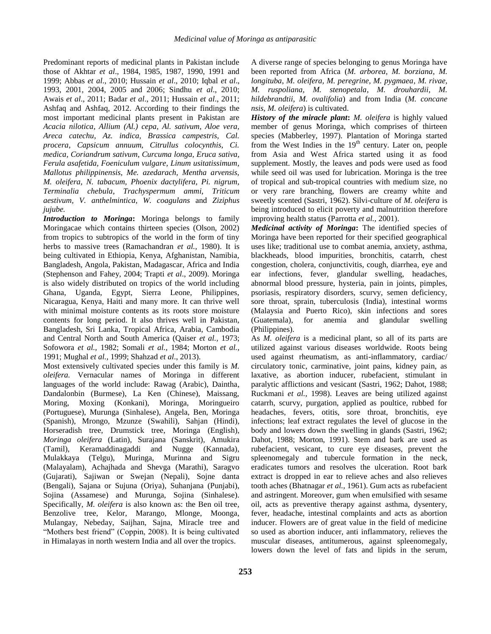Predominant reports of medicinal plants in Pakistan include those of Akhtar *et al*., 1984, 1985, 1987, 1990, 1991 and 1999; Abbas *et al*., 2010; Hussain *et al*., 2010; Iqbal *et al*., 1993, 2001, 2004, 2005 and 2006; Sindhu *et al*., 2010; Awais *et al*., 2011; Badar *et al*., 2011; Hussain *et al*., 2011; Ashfaq and Ashfaq, 2012. According to their findings the most important medicinal plants present in Pakistan are *Acacia nilotica, Allium (Al.) cepa, Al. sativum, Aloe vera, Areca catechu*, *Az. indica, Brassica campestris, Cal. procera*, *Capsicum annuum, Citrullus colocynthis, Ci. medica, Coriandrum sativum*, *Curcuma longa, Eruca sativa, Ferula asafetida, Foeniculum vulgare, Linum usitatissimum, Mallotus philippinensis, Me. azedarach, Mentha arvensis, M. oleifera, N. tabacum, Phoenix dactylifera, Pi. nigrum, Terminalia chebula*, *Trachyspermum ammi*, *Triticum aestivum, V. anthelmintica, W. coagulans* and *Ziziphus jujube.*

*Introduction to Moringa***:** Moringa belongs to family Moringacae which contains thirteen species (Olson, 2002) from tropics to subtropics of the world in the form of tiny herbs to massive trees (Ramachandran *et al.,* 1980). It is being cultivated in Ethiopia, Kenya, Afghanistan, Namibia, Bangladesh, Angola, Pakistan, Madagascar, Africa and India (Stephenson and Fahey, 2004; Trapti *et al*., 2009). Moringa is also widely distributed on tropics of the world including Ghana, Uganda, Egypt, Sierra Leone, Philippines, Nicaragua, Kenya, Haiti and many more. It can thrive well with minimal moisture contents as its roots store moisture contents for long period. It also thrives well in Pakistan, Bangladesh, Sri Lanka, Tropical Africa, Arabia, Cambodia and Central North and South America (Qaiser *et al.,* 1973; Sofowora *et al.,* 1982; Somali *et al.,* 1984; Morton *et al.,*  1991; Mughal *et al.,* 1999; Shahzad *et al*., 2013).

Most extensively cultivated species under this family is *M. oleifera.* Vernacular names of Moringa in different languages of the world include: Rawag (Arabic), Daintha, Dandalonbin (Burmese), La Ken (Chinese), Maissang, Moring, Moxing (Konkani), Moringa, Moringueiro (Portuguese), Murunga (Sinhalese), Angela, Ben, Moringa (Spanish), Mrongo, Mzunze (Swahili), Sahjan (Hindi), Horseradish tree, Drumstick tree, Moringa (English), *Moringa oleifera* (Latin), Surajana (Sanskrit), Amukira (Tamil), Keramaddinagaddi and Nugge (Kannada), Mulakkaya (Telgu), Muringa, Murinna and Sigru (Malayalam), Achajhada and Shevga (Marathi), Saragvo (Gujarati), Sajiwan or Swejan (Nepali), Sojne danta (Bengali), Sajana or Sujuna (Oriya), Suhanjana (Punjabi), Sojina (Assamese) and Murunga, Sojina (Sinhalese). Specifically, *M. oleifera* is also known as: the Ben oil tree, Benzolive tree, Kelor, Marango, Mlonge, Moonga, Mulangay, Nebeday, Saijhan, Sajna, Miracle tree and "Mothers best friend" (Coppin, 2008). It is being cultivated in Himalayas in north western India and all over the tropics.

A diverse range of species belonging to genus Moringa have been reported from Africa (*M. arborea, M. borziana*, *M. longituba*, *M. oleifera, M. peregrine, M. pygmaea*, *M. rivae, M. ruspoliana, M. stenopetala*, *M. drouhardii*, *M. hildebrandtii*, *M. ovalifolia*) and from India (*M. concane nsis*, *M. oleifera*) is cultivated.

*History of the miracle plant***:** *M. oleifera* is highly valued member of genus Moringa, which comprises of thirteen species (Mabberley, 1997). Plantation of Moringa started from the West Indies in the  $19<sup>th</sup>$  century. Later on, people from Asia and West Africa started using it as food supplement. Mostly, the leaves and pods were used as food while seed oil was used for lubrication. Moringa is the tree of tropical and sub-tropical countries with medium size, no or very rare branching, flowers are creamy white and sweetly scented (Sastri, 1962). Silvi-culture of *M. oleifera* is being introduced to elicit [poverty](http://en.wikipedia.org/wiki/Poverty) and [malnutrition](http://en.wikipedia.org/wiki/Malnutrition) therefore improving health status (Parrotta *et al.,* 2001).

*Medicinal activity of Moringa***:** The identified species of Moringa have been reported for their specified geographical uses like; traditional use to combat anemia, anxiety, asthma, blackheads, blood impurities, bronchitis, catarrh, chest congestion, cholera, conjunctivitis, cough, diarrhea, eye and ear infections, fever, glandular swelling, headaches, abnormal blood pressure, hysteria, pain in joints, pimples, psoriasis, respiratory disorders, scurvy, semen deficiency, sore throat, sprain, tuberculosis (India), intestinal worms (Malaysia and Puerto Rico), skin infections and sores (Guatemala), for anemia and glandular swelling (Philippines).

As *M. oleifera* is a medicinal plant, so all of its parts are utilized against various diseases worldwide. Roots being used against rheumatism, as anti-inflammatory, cardiac/ circulatory tonic, carminative, joint pains, kidney pain, as laxative, as abortion inducer, rubefacient, stimulant in paralytic afflictions and vesicant (Sastri, 1962; Dahot, 1988; Ruckmani *et al.,* 1998). Leaves are being utilized against catarrh, scurvy, purgation, applied as poultice, rubbed for headaches, fevers, otitis, sore throat, bronchitis, eye infections; leaf extract regulates the level of glucose in the body and lowers down the swelling in glands (Sastri, 1962; Dahot, 1988; Morton, 1991). Stem and bark are used as rubefacient, vesicant, to cure eye diseases, prevent the spleenomegaly and tubercule formation in the neck, eradicates tumors and resolves the ulceration. Root bark extract is dropped in ear to relieve aches and also relieves tooth aches (Bhatnagar *et al.,* 1961). Gum acts as rubefacient and astringent. Moreover, gum when emulsified with sesame oil, acts as preventive therapy against asthma, dysentery, fever, headache, intestinal complaints and acts as abortion inducer. Flowers are of great value in the field of medicine so used as abortion inducer, anti inflammatory, relieves the muscular diseases, antitumerous, against spleenomegaly, lowers down the level of fats and lipids in the serum,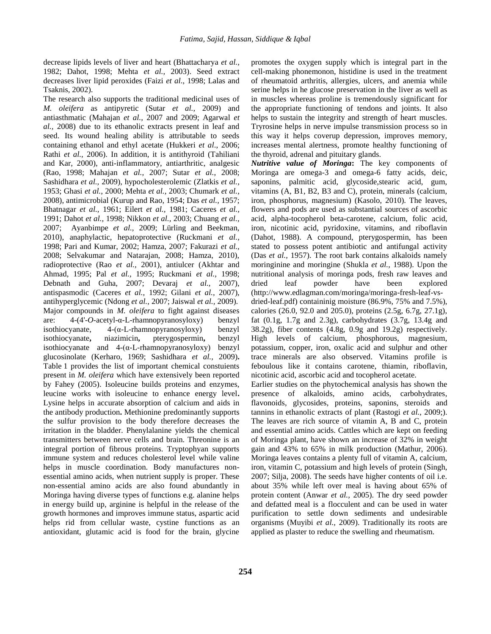decrease lipids levels of liver and heart (Bhattacharya *et al.,* 1982; Dahot, 1998; Mehta *et al.,* 2003). Seed extract decreases liver lipid peroxides (Faizi *et al*., 1998; Lalas and Tsaknis, 2002).

The research also supports the traditional medicinal uses of *M. oleifera* as antipyretic (Sutar *et al.,* 2009) and antiasthmatic (Mahajan *et al.,* 2007 and 2009; Agarwal *et al.,* 2008) due to its ethanolic extracts present in leaf and seed. Its wound healing ability is attributable to seeds containing ethanol and ethyl acetate (Hukkeri *et al*., 2006; Rathi *et al.,* 2006). In addition, it is antithyroid (Tahiliani and Kar, 2000), anti-inflammatory, antiarthritic, analgesic (Rao, 1998; Mahajan *et al.,* 2007; Sutar *et al.,* 2008; Sashidhara *et al.,* 2009), hypocholesterolemic (Zlatkis *et al.,* 1953; Ghasi *et al.,* 2000; Mehta *et al.,* 2003; Chumark *et al.,* 2008), antimicrobial (Kurup and Rao, 1954; Das *et al.,* 1957; Bhatnagar *et al.,* 1961; Eilert *et al.,* 1981; Caceres *et al.,* 1991; Dahot *et al.,* 1998; Nikkon *et al.,* 2003; Chuang *et al.,* 2007; Ayanbimpe *et al.,* 2009; Lürling and Beekman, 2010), anaphylactic, hepatoprotective (Ruckmani *et al.,* 1998; Pari and Kumar, 2002; Hamza, 2007; Fakurazi *et al.,* 2008; Selvakumar and Natarajan, 2008; Hamza, 2010), radioprotective (Rao *et al.,* 2001), antiulcer (Akhtar and Ahmad, 1995; Pal *et al.,* 1995; Ruckmani *et al.,* 1998; Debnath and Guha, 2007; Devaraj *et al.,* 2007), antispasmodic (Caceres *et al.,* 1992; Gilani *et al.,* 2007), antihyperglycemic (Ndong *et al.,* 2007; Jaiswal *et al.,* 2009). Major compounds in *M. oleifera* to fight against diseases are: 4-(4'-*O-*acetyl-α-L-rhamnopyranosyloxy) benzyl isothiocyanate,  $4-(\alpha$ -L-rhamnopyranosyloxy) benzyl isothiocyanate**,** niazimicin**,** pterygospermin**,** benzyl isothiocyanate and  $4-(\alpha$ -L-rhamnopyranosyloxy) benzyl glucosinolate (Kerharo, 1969; Sashidhara *et al.,* 2009)**.** Table 1 provides the list of important chemical constuients present in *M. oleifera* which have extensively been reported by Fahey (2005). Isoleucine builds proteins and enzymes, leucine works with isoleucine to enhance energy level**.** Lysine helps in accurate absorption of calcium and aids in the antibody production**.** Methionine predominantly supports the sulfur provision to the body therefore decreases the irritation in the bladder. Phenylalanine yields the chemical transmitters between nerve cells and brain. Threonine is an integral portion of fibrous proteins. Tryptophyan supports immune system and reduces cholesterol level while valine helps in muscle coordination. Body manufactures nonessential amino acids, when nutrient supply is proper. These non-essential amino acids are also found abundantly in Moringa having diverse types of functions e.g. alanine helps in energy build up, arginine is helpful in the release of the growth hormones and improves immune status, aspartic acid helps rid from cellular waste, cystine functions as an antioxidant, glutamic acid is food for the brain, glycine promotes the oxygen supply which is integral part in the cell-making phonemonon, histidine is used in the treatment of rheumatoid arthritis, allergies, ulcers, and anemia while serine helps in he glucose preservation in the liver as well as in muscles whereas proline is tremendously significant for the appropriate functioning of tendons and joints. It also helps to sustain the integrity and strength of heart muscles. Tryrosine helps in nerve impulse transmission process so in this way it helps coverup depression, improves memory, increases mental alertness, promote healthy functioning of the thyroid, adrenal and pituitary glands.

*Nutritive value of Moringa***:** The key components of Moringa are omega-3 and omega-6 fatty acids, deic, saponins, palmitic acid, glycoside,stearic acid, gum, vitamins (A, B1, B2, B3 and C), protein, minerals (calcium, iron, phosphorus, magnesium) (Kasolo, 2010). The leaves, flowers and pods are used as substantial sources of ascorbic acid, alpha-tocopherol beta-carotene, calcium, folic acid, iron, nicotinic acid, pyridoxine, vitamins, and riboflavin (Dahot, 1988). A compound, pterygospermin, has been stated to possess potent antibiotic and antifungal activity (Das *et al.,* 1957). The root bark contains alkaloids namely moringinine and moringine (Shukla *et al.,* 1988). Upon the nutritional analysis of moringa pods, fresh raw leaves and dried leaf powder have been explored [\(http://www.edlagman.com/moringa/moringa-fresh-leaf-vs](http://www.edlagman.com/moringa/moringa-fresh-leaf-vs-dried-leaf.pdf)[dried-leaf.pdf\)](http://www.edlagman.com/moringa/moringa-fresh-leaf-vs-dried-leaf.pdf) containinig moisture (86.9%, 75% and 7.5%), calories (26.0, 92.0 and 205.0), proteins (2.5g, 6.7g, 27.1g), fat (0.1g, 1.7g and 2.3g), carbohydrates (3.7g, 13.4g and 38.2g), fiber contents (4.8g, 0.9g and 19.2g) respectively. High levels of calcium, phosphorous, magnesium, potassium, copper, iron, oxalic acid and sulphur and other trace minerals are also observed. Vitamins profile is feboulous like it contains carotene, thiamin, riboflavin, nicotinic acid, ascorbic acid and tocopherol acetate.

Earlier studies on the phytochemical analysis has shown the presence of alkaloids, amino acids, carbohydrates, flavonoids, glycosides, proteins, saponins, steroids and tannins in ethanolic extracts of plant (Rastogi *et al.,* 2009;). The [leaves](http://en.wikipedia.org/wiki/Leaf) are rich source of vitamin A, B and C, protein and essential amino acids. Cattles which are kept on feeding of Moringa plant, have shown an increase of 32% in weight gain and 43% to 65% in [milk](http://en.wikipedia.org/wiki/Milk) production (Mathur, 2006). Moringa leaves contains a plenty full of vitamin A, calcium, iron, vitamin C, potassium and high levels of protein (Singh, 2007; Silja, 2008). The seeds have higher contents of oil i.e. about 35% while left over meal is having about 65% of protein content (Anwar *et al.,* 2005). The dry seed powder and defatted meal is a [flocculent](http://en.wikipedia.org/wiki/Flocculation#Flocculant) and can be used in [water](http://en.wikipedia.org/wiki/Water_purification)  [purification](http://en.wikipedia.org/wiki/Water_purification) to settle down sediments and undesirable organisms (Muyibi *et al.,* 2009). Traditionally its roots are applied as plaster to reduce the swelling and rheumatism.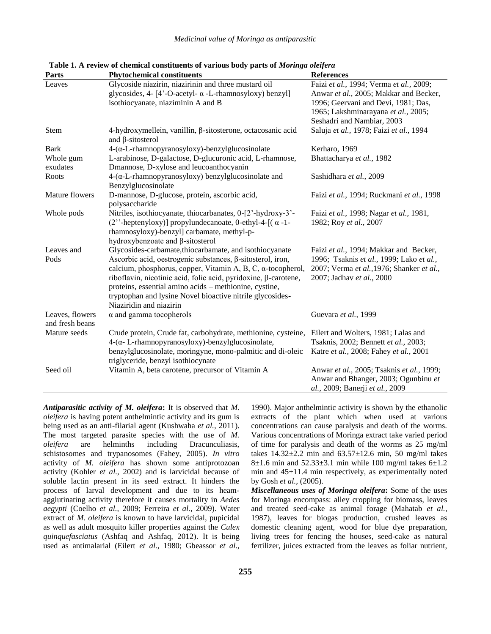| <b>Parts</b>                       | <b>Phytochemical constituents</b>                                                                   | <b>References</b>                         |
|------------------------------------|-----------------------------------------------------------------------------------------------------|-------------------------------------------|
| Leaves                             | Glycoside niazirin, niazirinin and three mustard oil                                                | Faizi et al., 1994; Verma et al., 2009;   |
|                                    | glycosides, $4 - [4^{\circ}$ -O-acetyl- $\alpha$ -L-rhamnosyloxy) benzyl]                           | Anwar et al., 2005; Makkar and Becker,    |
|                                    | isothiocyanate, niaziminin A and B                                                                  | 1996; Geervani and Devi, 1981; Das,       |
|                                    |                                                                                                     | 1965; Lakshminarayana et al., 2005;       |
|                                    |                                                                                                     | Seshadri and Nambiar, 2003                |
| Stem                               | 4-hydroxymellein, vanillin, β-sitosterone, octacosanic acid<br>and $\beta$ -sitosterol              | Saluja et al., 1978; Faizi et al., 1994   |
| <b>Bark</b>                        | $4-(\alpha$ -L-rhamnopyranosyloxy)-benzylglucosinolate                                              | Kerharo, 1969                             |
| Whole gum<br>exudates              | L-arabinose, D-galactose, D-glucuronic acid, L-rhamnose,<br>Dmannose, D-xylose and leucoanthocyanin | Bhattacharya et al., 1982                 |
| Roots                              | $4-(\alpha$ -L-rhamnopyranosyloxy) benzylglucosinolate and<br>Benzylglucosinolate                   | Sashidhara et al., 2009                   |
| Mature flowers                     | D-mannose, D-glucose, protein, ascorbic acid,                                                       | Faizi et al., 1994; Ruckmani et al., 1998 |
|                                    | polysaccharide                                                                                      |                                           |
| Whole pods                         | Nitriles, isothiocyanate, thiocarbanates, 0-[2'-hydroxy-3'-                                         | Faizi et al., 1998; Nagar et al., 1981,   |
|                                    | (2"-heptenyloxy)] propylundecanoate, 0-ethyl-4- $[(\alpha -1 -$                                     | 1982; Roy et al., 2007                    |
|                                    | rhamnosyloxy)-benzyl] carbamate, methyl-p-                                                          |                                           |
|                                    | hydroxybenzoate and β-sitosterol                                                                    |                                           |
| Leaves and                         | Glycosides-carbamate, thiocarbamate, and isothiocyanate                                             | Faizi et al., 1994; Makkar and Becker,    |
| Pods                               | Ascorbic acid, oestrogenic substances, β-sitosterol, iron,                                          | 1996; Tsaknis et al., 1999; Lako et al.,  |
|                                    | calcium, phosphorus, copper, Vitamin A, B, C, α-tocopherol,                                         | 2007; Verma et al., 1976; Shanker et al., |
|                                    | riboflavin, nicotinic acid, folic acid, pyridoxine, β-carotene,                                     | 2007; Jadhav et al., 2000                 |
|                                    | proteins, essential amino acids – methionine, cystine,                                              |                                           |
|                                    | tryptophan and lysine Novel bioactive nitrile glycosides-                                           |                                           |
|                                    | Niaziridin and niazirin                                                                             |                                           |
| Leaves, flowers<br>and fresh beans | $\alpha$ and gamma tocopherols                                                                      | Guevara et al., 1999                      |
| Mature seeds                       | Crude protein, Crude fat, carbohydrate, methionine, cysteine,                                       | Eilert and Wolters, 1981; Lalas and       |
|                                    | $4-(\alpha$ - L-rhamnopyranosyloxy)-benzylglucosinolate,                                            | Tsaknis, 2002; Bennett et al., 2003;      |
|                                    | benzylglucosinolate, moringyne, mono-palmitic and di-oleic                                          | Katre et al., 2008; Fahey et al., 2001    |
|                                    | triglyceride, benzyl isothiocynate                                                                  |                                           |
| Seed oil                           | Vitamin A, beta carotene, precursor of Vitamin A                                                    | Anwar et al., 2005; Tsaknis et al., 1999; |
|                                    |                                                                                                     | Anwar and Bhanger, 2003; Ogunbinu et      |
|                                    |                                                                                                     | al., 2009; Banerji et al., 2009           |

**Table 1. A review of chemical constituents of various body parts of** *Moringa oleifera* 

*Antiparasitic activity of M. oleifera***:** It is observed that *M. oleifera* is having potent anthelmintic activity and its gum is being used as an anti-filarial agent (Kushwaha *et al.,* 2011). The most targeted parasite species with the use of *M. oleifera* are helminths including Dracunculiasis, schistosomes and trypanosomes (Fahey, 2005). *In vitro*  activity of *M. oleifera* has shown some antiprotozoan activity (Kohler *et al.,* 2002) and is larvicidal because of soluble lactin present in its seed extract. It hinders the process of larval development and due to its heamagglutinating activity therefore it causes mortality in *Aedes aegypti* (Coelho *et al.,* 2009; Ferreira *et al.,* 2009). Water extract of *M. oleifera* is known to have larvicidal, pupicidal as well as adult mosquito killer properties against the *Culex quinquefasciatus* (Ashfaq and Ashfaq, 2012). It is being used as antimalarial (Eilert *et al.,* 1980; Gbeassor *et al.,* 

1990). Major anthelmintic activity is shown by the ethanolic extracts of the plant which when used at various concentrations can cause paralysis and death of the worms. Various concentrations of Moringa extract take varied period of time for paralysis and death of the worms as 25 mg/ml takes  $14.32 \pm 2.2$  min and  $63.57 \pm 12.6$  min, 50 mg/ml takes 8 $\pm$ 1.6 min and 52.33 $\pm$ 3.1 min while 100 mg/ml takes 6 $\pm$ 1.2 min and 45±11.4 min respectively, as experimentally noted by Gosh *et al.,* (2005).

*Miscellaneous uses of Moringa oleifera***:** Some of the uses for Moringa encompass: alley cropping for biomass, leaves and treated seed-cake as animal forage (Mahatab *et al.,* 1987), leaves for biogas production, crushed leaves as domestic cleaning agent, wood for blue dye preparation, living trees for fencing the houses, seed-cake as natural fertilizer, juices extracted from the leaves as foliar nutrient,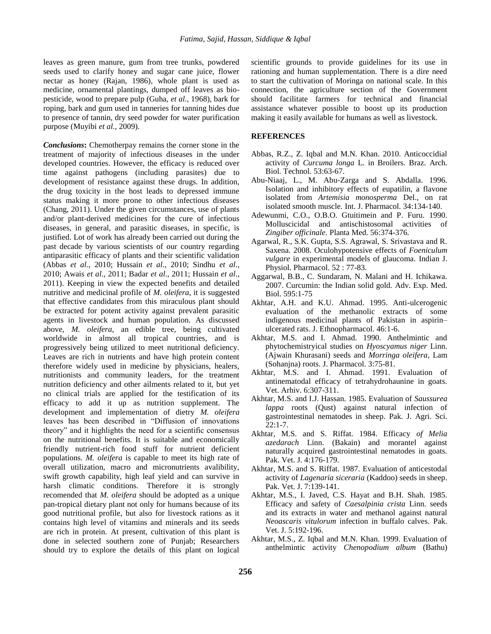leaves as green manure, gum from tree trunks, powdered seeds used to clarify honey and sugar cane juice, flower nectar as honey (Rajan, 1986), whole plant is used as medicine, ornamental plantings, dumped off leaves as biopesticide, wood to prepare pulp (Guha, *et al.,* 1968), bark for roping, bark and gum used in tanneries for tanning hides due to presence of tannin, dry seed powder for water purification purpose (Muyibi *et al.,* 2009).

*Conclusions***:** Chemotherpay remains the corner stone in the treatment of majority of infectious diseases in the under developed countries. However, the efficacy is reduced over time against pathogens (including parasites) due to development of resistance against these drugs. In addition, the drug toxicity in the host leads to depressed immune status making it more prone to other infectious diseases (Chang, 2011). Under the given circumstances, use of plants and/or plant-derived medicines for the cure of infectious diseases, in general, and parasitic diseases, in specific, is justified. Lot of work has already been carried out during the past decade by various scientists of our country regarding antiparasitic efficacy of plants and their scientific validation (Abbas *et al*., 2010; Hussain *et al*., 2010; Sindhu *et al*., 2010; Awais *et al*., 2011; Badar *et al*., 2011; Hussain *et al*., 2011). Keeping in view the expected benefits and detailed nutritive and medicinal profile of *M. oleifera*, it is suggested that effective candidates from this miraculous plant should be extracted for potent activity against prevalent parasitic agents in livestock and human population. As discussed above, *M. oleifera*, an edible tree, being cultivated worldwide in almost all tropical countries, and is progressively being utilized to meet nutritional deficiency. Leaves are rich in nutrients and have high protein content therefore widely used in medicine by physicians, healers, nutritionists and community leaders, for the treatment nutrition deficiency and other ailments related to it, but yet no clinical trials are applied for the testification of its efficacy to add it up as nutrition supplement. The development and implementation of dietry *M. oleifera* leaves has been described in "Diffusion of innovations theory" and it highlights the need for a scientific consensus on the nutritional benefits. It is suitable and economically friendly nutrient-rich food stuff for nutrient deficient populations. *M. oleifera* is capable to meet its high rate of overall utilization, macro and micronutrients avalibility, swift growth capability, high leaf yield and can survive in harsh climatic conditions. Therefore it is strongly recomended that *M. oleifera* should be adopted as a unique pan-tropical dietary plant not only for humans because of its good nutritional profile, but also for livestock rations as it contains high level of vitamins and minerals and its seeds are rich in protein. At present, cultivation of this plant is done in selected southern zone of Punjab; Researchers should try to explore the details of this plant on logical

scientific grounds to provide guidelines for its use in rationing and human supplementation. There is a dire need to start the cultivation of Moringa on national scale. In this connection, the agriculture section of the Government should facilitate farmers for technical and financial assistance whatever possible to boost up its production making it easily available for humans as well as livestock.

### **REFERENCES**

- [Abbas, R.Z., Z. Iqbal and M.N. Khan. 2010. Anticoccidial](http://www.scielo.br/scielo.php?pid=S1516-89132010000100008&script=sci_arttext)  activity of *Curcuma longa* [L. in Broilers. Braz. Arch](http://www.scielo.br/scielo.php?pid=S1516-89132010000100008&script=sci_arttext)*.*  Biol*.* Technol*.* [53:63-67.](http://www.scielo.br/scielo.php?pid=S1516-89132010000100008&script=sci_arttext)
- Abu-Niaaj, L., M. Abu-Zarga and S. Abdalla. 1996. Isolation and inhibitory effects of eupatilin, a flavone isolated from *Artemisia monosperma* Del., on rat isolated smooth muscle. Int. J. Pharmacol. 34:134-140.
- Adewunmi, C.O., O.B.O. Gtuitimein and P. Furu. 1990. Molluscicidal and antischistosomal activities of *Zingiber officinale.* Planta Med. 56:374-376.
- Agarwal, R., S.K. Gupta, S.S. Agrawal, S. Srivastava and R. Saxena. 2008. Oculohypotensive effects of *Foeniculum vulgare* in experimental models of glaucoma. Indian J. Physiol. Pharmacol. 52 : 77-83.
- Aggarwal, B.B., C. Sundaram, N. Malani and H. Ichikawa. 2007. Curcumin: the Indian solid gold. Adv. Exp. Med. Biol. 595:1-75
- Akhtar, A.H. and K.U. Ahmad. 1995. Anti-ulcerogenic evaluation of the methanolic extracts of some indigenous medicinal plants of Pakistan in aspirin– ulcerated rats. J. Ethnopharmacol. 46:1-6.
- Akhtar, M.S. and I. Ahmad. 1990. Anthelmintic and phytochemistryical studies on *Hyoscyamus niger* Linn. (Ajwain Khurasani) seeds and *Morringa oleifera,* Lam (Sohanjna) roots. J. Pharmacol. 3:75-81.
- Akhtar, M.S. and I. Ahmad. 1991. Evaluation of antinematodal efficacy of tetrahydrohaunine in goats. Vet. Arhiv. 6:307-311.
- Akhtar, M.S. and I.J. Hassan. 1985. Evaluation of *Saussurea lappa* roots (Qust) against natural infection of gastrointestinal nematodes in sheep. Pak. J. Agri. Sci.  $22:1 - 7$ .
- Akhtar, M.S. and S. Riffat. 1984. Efficacy *of Melia azedarach* Linn. (Bakain) and morantel against naturally acquired gastrointestinal nematodes in goats. Pak. Vet. J. 4:176-179.
- Akhtar, M.S. and S. Riffat. 1987. Evaluation of anticestodal activity of *Lagenaria siceraria* (Kaddoo) seeds in sheep. Pak. Vet. J. 7:139-141.
- Akhtar, M.S., I. Javed, C.S. Hayat and B.H. Shah. 1985. Efficacy and safety of *Caesalpinia crista* Linn. seeds and its extracts in water and methanol against natural *Neoascaris vitulorum* infection in buffalo calves. Pak. Vet. J. 5:192-196.
- Akhtar, M.S., Z. Igbal and M.N. Khan. 1999. Evaluation of anthelmintic activity *Chenopodium album* (Bathu)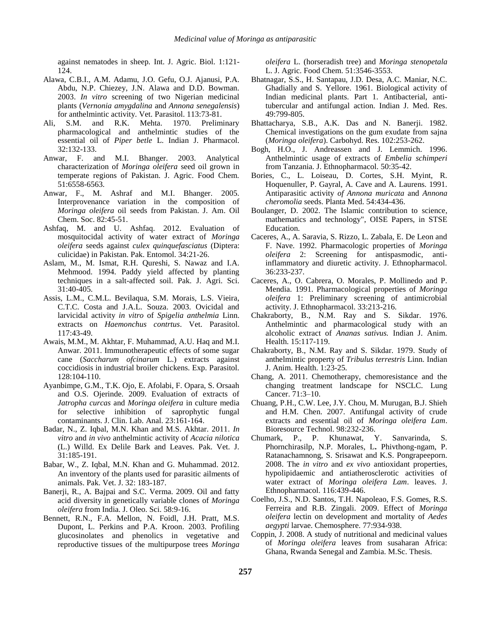against nematodes in sheep*.* Int. J. Agric. Biol. 1:121- 124.

- Alawa, C.B.I., A.M. Adamu, J.O. Gefu, O.J. Ajanusi, P.A. Abdu, N.P. Chiezey, J.N. Alawa and D.D. Bowman. 2003. *In vitro* screening of two Nigerian medicinal plants (*Vernonia amygdalina* and *Annona senegalensis*) for anthelmintic activity. Vet. Parasitol. 113:73-81.
- Ali, S.M. and R.K. Mehta. 1970. Preliminary pharmacological and anthelmintic studies of the essential oil of *Piper betle* L. Indian J. Pharmacol. 32:132-133.
- Anwar, F. and M.I. Bhanger. 2003. Analytical characterization of *Moringa oleifera* seed oil grown in temperate regions of Pakistan. J. Agric. Food Chem. 51:6558-6563.
- Anwar, F., M. Ashraf and M.I. Bhanger. 2005. Interprovenance variation in the composition of *Moringa oleifera* oil seeds from Pakistan. J. Am. Oil Chem. Soc. 82:45-51.
- Ashfaq, M. and U. Ashfaq. 2012. Evaluation of mosquitocidal activity of water extract of *Moringa oleifera* seeds against *culex quinquefasciatus* (Diptera: culicidae) in Pakistan. Pak. Entomol. 34:21-26.
- Aslam, M., M. Ismat, R.H. Qureshi, S. Nawaz and I.A. Mehmood. 1994. Paddy yield affected by planting techniques in a salt-affected soil. Pak. J. Agri. Sci. 31:40-405.
- Assis, L.M., C.M.L. Bevilaqua, S.M. Morais, L.S. Vieira, C.T.C. Costa and J.A.L. Souza. 2003. Ovicidal and larvicidal activity *in vitro* of *Spigelia anthelmia* Linn. extracts on *Haemonchus contrtus*. Vet. Parasitol. 117:43-49.
- Awais, M.M., M. Akhtar, F. Muhammad, A.U. Haq and M.I. Anwar. 2011. Immunotherapeutic effects of some sugar cane (*Saccharum ofcinarum* L.) extracts against coccidiosis in industrial broiler chickens. Exp. Parasitol. 128:104-110.
- Ayanbimpe, G.M., T.K. Ojo, E. Afolabi, F. Opara, S. Orsaah and O.S. Ojerinde. 2009. Evaluation of extracts of *Jatropha curcas* and *Moringa oleifera* in culture media for selective inhibition of saprophytic fungal contaminants. J. Clin. Lab. Anal. 23:161-164.
- Badar, N., Z. Iqbal, M.N. Khan and M.S. Akhtar. 2011. *In vitro* and *in vivo* anthelmintic activity of *Acacia nilotica* (L.) Willd. Ex Delile Bark and Leaves. Pak. Vet. J. 31:185-191.
- Babar, W., Z. Iqbal, M.N. Khan and G. Muhammad. 2012. An inventory of the plants used for parasitic ailments of animals. Pak. Vet. J. 32: 183-187.
- Banerji, R., A. Bajpai and S.C. Verma. 2009. Oil and fatty acid diversity in genetically variable clones of *Moringa oleifera* from India. J. Oleo. Sci. 58:9-16.
- Bennett, R.N., F.A. Mellon, N. Foidl, J.H. Pratt, M.S. Dupont, L. Perkins and P.A. Kroon. 2003. Profiling glucosinolates and phenolics in vegetative and reproductive tissues of the multipurpose trees *Moringa*

*oleifera* L. (horseradish tree) and *Moringa stenopetala* L. J. Agric. Food Chem. 51:3546-3553.

- Bhatnagar, S.S., H. Santapau, J.D. Desa, A.C. Maniar, N.C. Ghadially and S. Yellore. 1961. Biological activity of Indian medicinal plants. Part 1. Antibacterial, antitubercular and antifungal action. Indian J. Med. Res. 49:799-805.
- Bhattacharya, S.B., A.K. Das and N. Banerji. 1982. Chemical investigations on the gum exudate from sajna (*Moringa oleifera*). Carbohyd. Res. 102:253-262.
- Bogh, H.O., J. Andreassen and J. Lemmich. 1996. Anthelmintic usage of extracts of *Embelia schimperi*  from Tanzania. J. Ethnopharmacol. 50:35-42.
- Bories, C., L. Loiseau, D. Cortes, S.H. Myint, R. Hoquenuller, P. Gayral, A. Cave and A. Laurens. 1991. Antiparasitic activity *of Annona muricata* and *Annona cheromolia* seeds. Planta Med. 54:434-436.
- Boulanger, D. 2002. The Islamic contribution to science, mathematics and technology", OISE Papers, in STSE Education.
- Caceres, A., A. Saravia, S. Rizzo, L. Zabala, E. De Leon and F. Nave. 1992. Pharmacologic properties of *Moringa oleifera* 2: Screening for antispasmodic, antiinflammatory and diuretic activity. J. Ethnopharmacol. 36:233-237.
- Caceres, A., O. Cabrera, O. Morales, P. Mollinedo and P. Mendia. 1991. Pharmacological properties of *Moringa oleifera* 1: Preliminary screening of antimicrobial activity. J. Ethnopharmacol. 33:213-216.
- Chakraborty, B., N.M. Ray and S. Sikdar. 1976. Anthelmintic and pharmacological study with an alcoholic extract of *Ananas sativus.* Indian J. Anim. Health. 15:117-119.
- Chakraborty, B., N.M. Ray and S. Sikdar. 1979. Study of anthelmintic property of *Tribulus terrestris* Linn. Indian J. Anim. Health. 1:23-25*.*
- Chang, A. 2011. Chemotherapy, chemoresistance and the changing treatment landscape for NSCLC. Lung Cancer. 71:3–10.
- Chuang, P.H., C.W. Lee, J.Y. Chou, M. Murugan, B.J. Shieh and H.M. Chen. 2007. Antifungal activity of crude extracts and essential oil of *Moringa oleifera Lam*. Bioresource Technol. 98:232-236.
- Chumark, P., P. Khunawat, Y. Sanvarinda, S. Phornchirasilp, N.P. Morales, L**.** Phivthong-ngam, P. Ratanachamnong, S. Srisawat and K.S. Pongrapeeporn. 2008. The *in vitro* and *ex vivo* antioxidant properties, hypolipidaemic and antiatherosclerotic activities of water extract of *Moringa oleifera Lam*. leaves. J. Ethnopharmacol. 116:439-446.
- Coelho, J.S., N.D. Santos, T.H. Napoleao, F.S. Gomes, R.S. Ferreira and R.B. Zingali*.* 2009. Effect of *Moringa oleifera* lectin on development and mortality of *Aedes aegypti* larvae. Chemosphere. 77:934-938.
- Coppin, J. 2008. A study of nutritional and medicinal values of *Moringa oleifera* leaves from susaharan Africa: Ghana, Rwanda Senegal and Zambia. M.Sc. Thesis.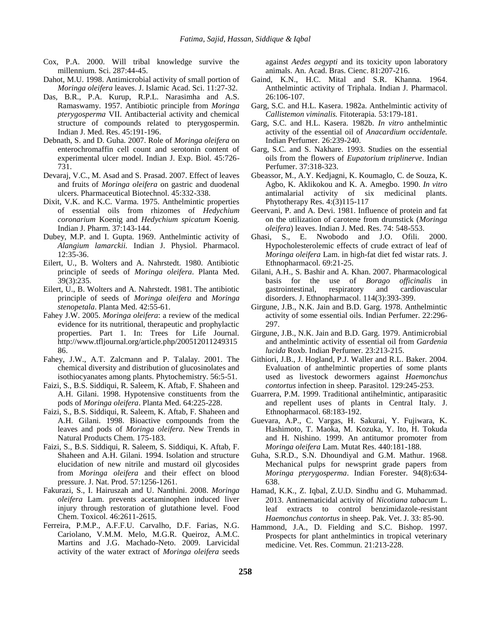- Cox, P.A. 2000. Will tribal knowledge survive the millennium. Sci. 287:44-45.
- Dahot, M.U. 1998. Antimicrobial activity of small portion of *Moringa oleifera* leaves. J. Islamic Acad. Sci. 11:27-32.
- Das, B.R., P.A. Kurup, R.P.L. Narasimha and A.S. Ramaswamy. 1957. Antibiotic principle from *Moringa pterygosperma* VII. Antibacterial activity and chemical structure of compounds related to pterygospermin. Indian J. Med. Res. 45:191-196.
- Debnath, S. and D. Guha. 2007. Role of *Moringa oleifera* on enterochromaffin cell count and serotonin content of experimental ulcer model. Indian J. Exp. Biol. 45:726- 731.
- Devaraj, V.C., M. Asad and S. Prasad. 2007. Effect of leaves and fruits of *Moringa oleifera* on gastric and duodenal ulcers. Pharmaceutical Biotechnol. 45:332-338.
- Dixit, V.K. and K.C. Varma. 1975. Anthelmintic properties of essential oils from rhizomes of *Hedychium coronarium* Koenig and *Hedychium spicatum* Koenig. Indian J. Pharm. 37:143-144.
- Dubey, M.P. and I. Gupta. 1969. Anthelmintic activity of *Alangium lamarckii.* Indian J. Physiol. Pharmacol. 12:35-36.
- Eilert, U., B. Wolters and A. Nahrstedt. 1980. Antibiotic principle of seeds of *Moringa oleifera*. Planta Med. 39(3):235.
- Eilert, U., B. Wolters and A. Nahrstedt. 1981. The antibiotic principle of seeds of *Moringa oleifera* and *Moringa stenopetala*. Planta Med. 42:55-61.
- Fahey J.W. 2005. *Moringa oleifera*: a review of the medical evidence for its nutritional, therapeutic and prophylactic properties. Part 1. In: Trees for Life Journal. [http://www.tfljournal.org/article.php/200512011249315](http://www.tfljournal.org/article.php/20051201124931586) [86.](http://www.tfljournal.org/article.php/20051201124931586)
- Fahey, J.W., A.T. Zalcmann and P. Talalay. 2001. The chemical diversity and distribution of glucosinolates and isothiocyanates among plants. Phytochemistry. 56:5-51.
- Faizi, S., B.S. Siddiqui, R. Saleem, K. Aftab, F. Shaheen and A.H. Gilani. 1998. Hypotensive constituents from the pods of *Moringa oleifera*. Planta Med. 64:225-228.
- Faizi, S., B.S. Siddiqui, R. Saleem, K. Aftab, F. Shaheen and A.H. Gilani. 1998. Bioactive compounds from the leaves and pods of *Moringa oleifera*. New Trends in Natural Products Chem. 175-183.
- Faizi, S., B.S. Siddiqui, R. Saleem, S. Siddiqui, K. Aftab, F. Shaheen and A.H. Gilani. 1994. Isolation and structure elucidation of new nitrile and mustard oil glycosides from *Moringa oleifera* and their effect on blood pressure. J. Nat. Prod. 57:1256-1261.
- Fakurazi, S., I. Hairuszah and U. Nanthini. 2008. *Moringa oleifera* Lam. prevents acetaminophen induced liver injury through restoration of glutathione level. Food Chem. Toxicol. 46:2611-2615.
- Ferreira, P.M.P., A.F.F.U. Carvalho, D.F. Farias, N.G. Cariolano, V.M.M. Melo, M.G.R. Queiroz, A.M.C. Martins and J.G. Machado-Neto. 2009. Larvicidal activity of the water extract of *Moringa oleifera* seeds

against *Aedes aegypti* and its toxicity upon laboratory animals. An. Acad. Bras. Cienc. 81:207-216.

- Gaind, K.N., H.C. Mital and S.R. Khanna. 1964. Anthelmintic activity of Triphala. Indian J. Pharmacol. 26:106-107.
- Garg, S.C. and H.L. Kasera. 1982a. Anthelmintic activity of *Callistemon viminalis.* Fitoterapia. 53:179-181.
- Garg, S.C. and H.L. Kasera. 1982b. *In vitro* anthelmintic activity of the essential oil of *Anacardium occidentale.* Indian Perfumer. 26:239-240.
- Garg, S.C. and S. Nakhare. 1993. Studies on the essential oils from the flowers of *Eupatorium triplinerve*. Indian Perfumer. 37:318-323.
- Gbeassor, M., A.Y. Kedjagni, K. Koumaglo, C. de Souza, K. Agbo, K. Aklikokou and K. A. Amegbo. 1990. *In vitro* antimalarial activity of six medicinal plants. Phytotherapy Res. 4:(3)115-117
- Geervani, P. and A. Devi. 1981. Influence of protein and fat on the utilization of carotene from drumstick (*Moringa oleifera*) leaves. Indian J. Med. Res. 74: 548-553.
- Ghasi, S., E. Nwobodo and J.O. Ofili. 2000. Hypocholesterolemic effects of crude extract of leaf of *Moringa oleifera* Lam. in high-fat diet fed wistar rats. J. Ethnopharmacol. 69:21-25.
- Gilani, A.H., S. Bashir and A. Khan. 2007. Pharmacological basis for the use of *Borago officinalis* in gastrointestinal, respiratory and cardiovascular disorders. J. Ethnopharmacol. 114(3):393-399.
- Girgune, J.B., N.K. Jain and B.D. Garg. 1978. Anthelmintic activity of some essential oils. Indian Perfumer. 22:296- 297.
- Girgune, J.B., N.K. Jain and B.D. Garg. 1979. Antimicrobial and anthelmintic activity of essential oil from *Gardenia lucida* Roxb. Indian Perfumer. 23:213-215.
- Githiori, J.B., J. Hogland, P.J. Waller and R.L. Baker. 2004. Evaluation of anthelmintic properties of some plants used as livestock dewormers against *Haemonchus contortus* infection in sheep. Parasitol. 129:245-253.
- Guarrera, P.M. 1999. Traditional antihelmintic, antiparasitic and repellent uses of plants in Central Italy. J. Ethnopharmacol. 68:183-192.
- Guevara, A.P., C. Vargas, H. Sakurai, Y. Fujiwara, K. Hashimoto, T. Maoka, M. Kozuka, Y. Ito, H. Tokuda and H. Nishino. 1999. An antitumor promoter from *Moringa oleifera* Lam. Mutat Res. 440:181-188.
- Guha, S.R.D., S.N. Dhoundiyal and G.M. Mathur. 1968. Mechanical pulps for newsprint grade papers from *Moringa pterygosperma*. Indian Forester. 94(8):634- 638.
- Hamad, K.K., Z. Iqbal, Z.U.D. Sindhu and G. Muhammad. 2013. Antinematicidal activity of *Nicotiana tabacum* L. leaf extracts to control benzimidazole-resistant *Haemonchus contortus* in sheep. Pak. Vet. J. 33: 85-90.
- Hammond, J.A., D. Fielding and S.C. Bishop. 1997. Prospects for plant anthelmintics in tropical veterinary medicine. Vet. Res. Commun. 21:213-228.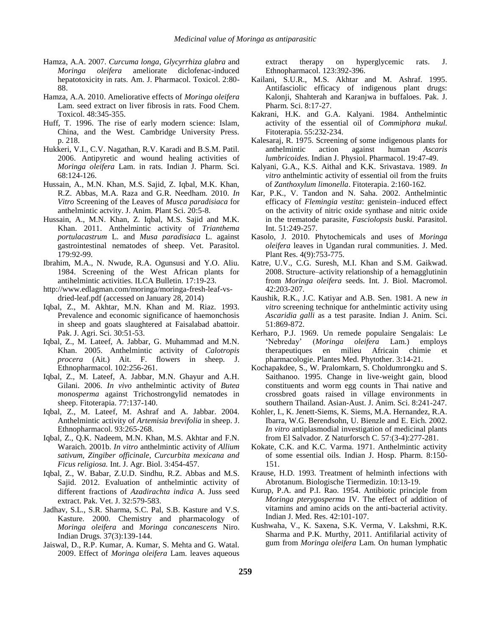- Hamza, A.A. 2007. *Curcuma longa*, *Glycyrrhiza glabra* and *Moringa oleifera* ameliorate diclofenac-induced hepatotoxicity in rats. Am. J. Pharmacol. Toxicol. 2:80- 88.
- Hamza, A.A. 2010. Ameliorative effects of *Moringa oleifera* Lam. seed extract on liver fibrosis in rats. Food Chem. Toxicol. 48:345-355.
- Huff, T. 1996. The rise of early modern science: Islam, China, and the West. Cambridge University Press. p. 218.
- Hukkeri, V.I., C.V. Nagathan, R.V. Karadi and B.S.M. Patil. 2006. Antipyretic and wound healing activities of *Moringa oleifera* Lam. in rats. Indian J. Pharm. Sci. 68:124-126.
- Hussain, A., M.N. Khan, M.S. Sajid, Z. Iqbal, M.K. Khan, R.Z. Abbas, M.A. Raza and G.R. Needham. 2010. *In Vitro* Screening of the Leaves of *Musca paradisiaca* for anthelmintic actvity. J. Anim. Plant Sci. 20:5-8.
- Hussain, A., M.N. Khan, Z. Iqbal, M.S. Sajid and M.K. Khan. 2011. Anthelmintic activity of *Trianthema portulacastrum* L. and *Musa paradisiaca* L. against gastrointestinal nematodes of sheep. Vet. Parasitol. 179:92-99.
- Ibrahim, M.A., N. Nwude, R.A. Ogunsusi and Y.O. Aliu. 1984. Screening of the West African plants for antihelmintic activities. ILCA Bulletin. 17:19-23.
- [http://www.edlagman.com/moringa/moringa-fresh-leaf-vs](http://www.edlagman.com/moringa/moringa-fresh-leaf-vs-dried-leaf.pdf)[dried-leaf.pdf](http://www.edlagman.com/moringa/moringa-fresh-leaf-vs-dried-leaf.pdf) (accessed on January 28, 2014)
- Iqbal, Z., M. Akhtar, M.N. Khan and M. Riaz. 1993. Prevalence and economic significance of haemonchosis in sheep and goats slaughtered at Faisalabad abattoir. Pak. J. Agri. Sci. 30:51-53.
- Iqbal, Z., M. Lateef, A. Jabbar, G. Muhammad and M.N. Khan. 2005. Anthelmintic activity of *Calotropis procera* (Ait.) Ait. F. flowers in sheep*.* J. Ethnopharmacol. 102:256-261.
- Iqbal, Z., M. Lateef, A. Jabbar, M.N. Ghayur and A.H. Gilani. 2006. *In vivo* anthelmintic activity of *Butea monosperma* against Trichostrongylid nematodes in sheep. Fitoterapia. 77:137-140.
- Iqbal, Z., M. Lateef, M. Ashraf and A. Jabbar. 2004. Anthelmintic activity of *Artemisia brevifolia* in sheep. J. Ethnopharmacol. 93:265-268.
- Iqbal, Z., Q.K. Nadeem, M.N. Khan, M.S. Akhtar and F.N. Waraich. 2001b. *In vitro* anthelmintic activity of *Allium sativum, Zingiber officinale, Curcurbita mexicana and Ficus religiosa.* Int. J. Agr. Biol. 3:454-457.
- Iqbal, Z., W. Babar, Z.U.D. Sindhu, R.Z. Abbas and M.S. Sajid. 2012. Evaluation of anthelmintic activity of different fractions of *Azadirachta indica* A. Juss seed extract. Pak. Vet. J. 32:579-583.
- Jadhav, S.L., S.R. Sharma, S.C. Pal, S.B. Kasture and V.S. Kasture. 2000. Chemistry and pharmacology of *Moringa oleifera* and *Moringa concanescens* Niro. Indian Drugs. 37(3):139-144.
- Jaiswal, D., R.P. Kumar, A. Kumar, S. Mehta and G. Watal. 2009. Effect of *Moringa oleifera* Lam. leaves aqueous

extract therapy on hyperglycemic rats. J. Ethnopharmacol. 123:392-396.

- Kailani, S.U.R., M.S. Akhtar and M. Ashraf. 1995. Antifasciolic efficacy of indigenous plant drugs: Kalonji, Shahterah and Karanjwa in buffaloes. Pak. J. Pharm. Sci. 8:17-27.
- Kakrani, H.K. and G.A. Kalyani. 1984. Anthelmintic activity of the essential oil of *Commiphora mukul.*  Fitoterapia. 55:232-234.
- Kalesaraj, R. 1975. Screening of some indigenous plants for anthelmintic action against human *Ascaris lumbricoides.* Indian J. Physiol. Pharmacol. 19:47-49.
- Kalyani, G.A., K.S. Aithal and K.K. Srivastava. 1989. *In vitro* anthelmintic activity of essential oil from the fruits of *Zanthoxylum limonella*. Fitoterapia. 2:160-162.
- Kar, P.K., V. Tandon and N. Saha. 2002. Anthelmintic efficacy of *Flemingia vestita*: genistein–induced effect on the activity of nitric oxide synthase and nitric oxide in the trematode parasite, *Fasciolopsis buski.* Parasitol. Int. 51:249-257.
- Kasolo, J. 2010. Phytochemicals and uses of *Moringa oleifera* leaves in Ugandan rural communities. J. Med. Plant Res. 4(9):753-775.
- Katre, U.V., C.G. Suresh, M.I. Khan and S.M. Gaikwad. 2008. Structure–activity relationship of a hemagglutinin from *Moringa oleifera* seeds. Int. J. Biol. Macromol. 42:203-207.
- Kaushik, R.K., J.C. Katiyar and A.B. Sen. 1981. A new *in vitro* screening technique for anthelmintic activity using *Ascaridia galli* as a test parasite. Indian J. Anim. Sci. 51:869-872.
- Kerharo, P.J. 1969. Un remede populaire Sengalais: Le 'Nebreday' (*Moringa oleifera* Lam.) employs therapeutiques en milieu Africain chimie et pharmacologie. Plantes Med. Phytother. 3:14-21.
- Kochapakdee, S., W. Pralomkarn, S. Choldumrongku and S. Saithanoo. 1995. Change in live-weight gain, blood constituents and worm egg counts in Thai native and crossbred goats raised in village environments in southern Thailand. Asian-Aust. J. Anim. Sci. 8:241-247.
- Kohler, I., K. Jenett-Siems, K. Siems, M.A. Hernandez, R.A. Ibarra, W.G. Berendsohn, U. Bienzle and E. Eich. 2002. *In vitro* antiplasmodial investigation of medicinal plants from El Salvador. Z Naturforsch C. 57:(3-4):277-281.
- Kokate, C.K. and K.C. Varma. 1971. Anthelmintic activity of some essential oils. Indian J. Hosp. Pharm. 8:150- 151.
- Krause, H.D. 1993. Treatment of helminth infections with Abrotanum. Biologische Tiermedizin. 10:13-19.
- Kurup, P.A. and P.I. Rao. 1954. Antibiotic principle from *Moringa pterygosperma* IV. The effect of addition of vitamins and amino acids on the anti-bacterial activity. Indian J. Med. Res. 42:101-107.
- Kushwaha, V., K. Saxena, S.K. Verma, V. Lakshmi, R.K. Sharma and P.K. Murthy, 2011. Antifilarial activity of gum from *Moringa oleifera* Lam. On human lymphatic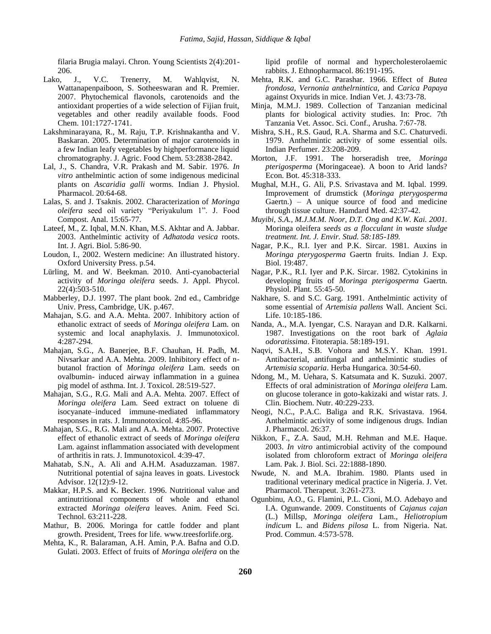filaria Brugia malayi. Chron. Young Scientists 2(4):201- 206.

- Lako, J., V.C. Trenerry, M. Wahlqvist, N. Wattanapenpaiboon, S. Sotheeswaran and R. Premier. 2007. Phytochemical flavonols, carotenoids and the antioxidant properties of a wide selection of Fijian fruit, vegetables and other readily available foods. Food Chem. 101:1727-1741.
- Lakshminarayana, R., M. Raju, T.P. Krishnakantha and V. Baskaran. 2005. Determination of major carotenoids in a few Indian leafy vegetables by highperformance liquid chromatography. J. Agric. Food Chem. 53:2838-2842.
- Lal, J., S. Chandra, V.R. Prakash and M. Sabir. 1976. *In vitro* anthelmintic action of some indigenous medicinal plants on *Ascaridia galli* worms. Indian J. Physiol. Pharmacol. 20:64-68.
- Lalas, S. and J. Tsaknis. 2002. Characterization of *Moringa oleifera* seed oil variety "Periyakulum 1". J. Food Compost. Anal. 15:65-77.
- Lateef, M., Z. Iqbal, M.N. Khan, M.S. Akhtar and A. Jabbar. 2003. Anthelmintic activity of *Adhatoda vesica* roots. Int. J. Agri. Biol. 5:86-90.
- Loudon, I., 2002. Western medicine: An illustrated history. Oxford University Press. p.54.
- Lürling, M. and W. Beekman. 2010. Anti-cyanobacterial activity of *Moringa oleifera* seeds. J. Appl. Phycol. 22(4):503-510.
- Mabberley, D.J. 1997. The plant book. 2nd ed., Cambridge Univ. Press, Cambridge, UK. p.467.
- Mahajan, S.G. and A.A. Mehta. 2007. Inhibitory action of ethanolic extract of seeds of *Moringa oleifera* Lam. on systemic and local anaphylaxis. J. Immunotoxicol. 4:287-294.
- Mahajan, S.G., A. Banerjee, B.F. Chauhan, H. Padh, M. Nivsarkar and A.A. Mehta. 2009. Inhibitory effect of nbutanol fraction of *Moringa oleifera* Lam. seeds on ovalbumin- induced airway inflammation in a guinea pig model of asthma. Int. J. Toxicol. 28:519-527.
- Mahajan, S.G., R.G. Mali and A.A. Mehta. 2007. Effect of *Moringa oleifera* Lam. Seed extract on toluene di isocyanate–induced immune-mediated inflammatory responses in rats. J. Immunotoxicol. 4:85-96.
- Mahajan, S.G., R.G. Mali and A.A. Mehta. 2007. Protective effect of ethanolic extract of seeds of *Moringa oleifera* Lam. against inflammation associated with development of arthritis in rats. J. Immunotoxicol. 4:39-47.
- Mahatab, S.N., A. Ali and A.H.M. Asaduzzaman. 1987. Nutritional potential of sajna leaves in goats. Livestock Advisor. 12(12):9-12.
- Makkar, H.P.S. and K. Becker. 1996. Nutritional value and antinutritional components of whole and ethanol extracted *Moringa oleifera* leaves. Anim. Feed Sci. Technol. 63:211-228.
- Mathur, B. 2006. Moringa for cattle fodder and plant growth. President, Trees for life[. www.treesforlife.org.](http://www.treesforlife.org/)
- Mehta, K., R. Balaraman, A.H. Amin, P.A. Bafna and O.D. Gulati. 2003. Effect of fruits of *Moringa oleifera* on the

lipid profile of normal and hypercholesterolaemic rabbits. J. Ethnopharmacol. 86:191-195.

- Mehta, R.K. and G.C. Parashar. 1966. Effect of *Butea frondosa, Vernonia anthelrnintica,* and *Carica Papaya*  against Oxyurids in mice. Indian Vet. J. 43:73-78.
- Minja, M.M.J. 1989. Collection of Tanzanian medicinal plants for biological activity studies. In: Proc. 7th Tanzania Vet. Assoc. Sci. Conf., Arusha. 7:67-78.
- Mishra, S.H., R.S. Gaud, R.A. Sharma and S.C. Chaturvedi. 1979. Anthelmintic activity of some essential oils. Indian Perfumer. 23:208-209.
- Morton, J.F. 1991. The horseradish tree, *Moringa pterigosperma* (Moringaceae). A boon to Arid lands? Econ. Bot. 45:318-333.
- Mughal, M.H., G. Ali, P.S. Srivastava and M. Iqbal. 1999. Improvement of drumstick (*Moringa pterygosperma* Gaertn.) – A unique source of food and medicine through tissue culture. Hamdard Med. 42:37-42.
- *Muyibi, S.A., M.J.M.M. Noor, D.T. Ong and K.W. Kai. 2001.*  Moringa oleifera *seeds as a flocculant in waste sludge treatment. Int. J. Envir. Stud. 58:185-189.*
- Nagar, P.K., R.I. Iyer and P.K. Sircar. 1981. Auxins in *Moringa pterygosperma* Gaertn fruits. Indian J. Exp. Biol. 19:487.
- Nagar, P.K., R.I. Iyer and P.K. Sircar. 1982. Cytokinins in developing fruits of *Moringa pterigosperma* Gaertn. Physiol. Plant. 55:45-50.
- Nakhare, S. and S.C. Garg. 1991. Anthelmintic activity of some essential of *Artemisia pallens* Wall. Ancient Sci. Life. 10:185-186.
- Nanda, A., M.A. Iyengar, C.S. Narayan and D.R. Kalkarni. 1987. Investigations on the root bark of *Aglaia odoratissima*. Fitoterapia. 58:189-191.
- Naqvi, S.A.H., S.B. Vohora and M.S.Y. Khan. 1991. Antibacterial, antifungal and anthelmintic studies of *Artemisia scoparia*. Herba Hungarica. 30:54-60.
- Ndong, M., M. Uehara, S. Katsumata and K. Suzuki. 2007. Effects of oral administration of *Moringa oleifera* Lam. on glucose tolerance in goto-kakizaki and wistar rats. J. Clin. Biochem. Nutr. 40:229-233.
- Neogi, N.C., P.A.C. Baliga and R.K. Srivastava. 1964. Anthelmintic activity of some indigenous drugs. Indian J. Pharmacol. 26:37.
- Nikkon, F., Z.A. Saud, M.H. Rehman and M.E. Haque. 2003. *In vitro* antimicrobial activity of the compound isolated from chloroform extract of *Moringa oleifera* Lam. Pak. J. Biol. Sci. 22:1888-1890.
- Nwude, N. and M.A. Ibrahim. 1980. Plants used in traditional veterinary medical practice in Nigeria. J. Vet. Pharmacol. Therapeut. 3:261-273.
- Ogunbinu, A.O., G. Flamini, P.L. Cioni, M.O. Adebayo and I.A. Ogunwande. 2009. Constituents of *Cajanus cajan* (L.) Millsp, *Moringa oleifera* Lam., *Heliotropium indicum* L. and *Bidens pilosa* L. from Nigeria. Nat. Prod. Commun. 4:573-578.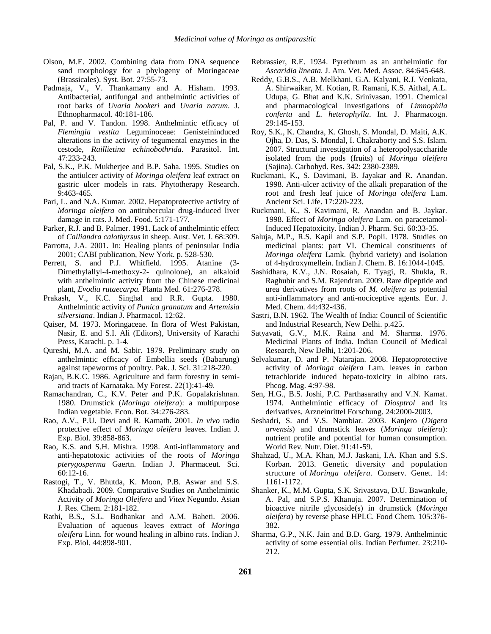- Olson, M.E. 2002. Combining data from DNA sequence sand morphology for a phylogeny of Moringaceae (Brassicales). Syst. Bot*.* 27:55-73.
- Padmaja, V., V. Thankamany and A. Hisham. 1993. Antibacterial, antifungal and anthelmintic activities of root barks of *Uvaria hookeri* and *Uvaria narum.* J. Ethnopharmacol. 40:181-186.
- Pal, P. and V. Tandon. 1998. Anthelmintic efficacy of *Flemingia vestita* Leguminoceae: Genisteininduced alterations in the activity of tegumental enzymes in the cestode, *Raillietina echinobothrida.* Parasitol. Int. 47:233-243.
- Pal, S.K., P.K. Mukherjee and B.P. Saha. 1995. Studies on the antiulcer activity of *Moringa oleifera* leaf extract on gastric ulcer models in rats. Phytotherapy Research. 9:463-465.
- Pari, L. and N.A. Kumar. 2002. Hepatoprotective activity of *Moringa oleifera* on antitubercular drug-induced liver damage in rats. J. Med. Food. 5:171-177.
- Parker, R.J. and B. Palmer. 1991. Lack of anthelmintic effect of *Calliandra calothyrsus* in sheep. Aust. Vet. J. 68:309.
- Parrotta, J.A. 2001. In: Healing plants of peninsular India 2001; CABI publication, New York. p. 528-530.
- Perrett, S. and P.J. Whitfield. 1995. Atanine (3- Dimethylallyl-4-methoxy-2- quinolone), an alkaloid with anthelmintic activity from the Chinese medicinal plant, *Evodia rutaecarpa.* Planta Med. 61:276-278.
- Prakash, V., K.C. Singhal and R.R. Gupta. 1980. Anthelmintic activity of *Punica granatum* and *Artemisia silversiana*. Indian J. Pharmacol. 12:62.
- Qaiser, M. 1973. Moringaceae. In flora of West Pakistan, Nasir, E. and S.I. Ali (Editors), University of Karachi Press, Karachi. p. 1-4.
- Qureshi, M.A. and M. Sabir. 1979. Preliminary study on anthelmintic efficacy of Embellia seeds (Babarung) against tapeworms of poultry. Pak. J. Sci. 31:218-220.
- Rajan, B.K.C. 1986. Agriculture and farm forestry in semiarid tracts of Karnataka. My Forest. 22(1):41-49.
- Ramachandran, C., K.V. Peter and P.K. Gopalakrishnan. 1980. Drumstick (*Moringa oleifera*): a multipurpose Indian vegetable. Econ. Bot. 34:276-283.
- Rao, A.V., P.U. Devi and R. Kamath. 2001. *In vivo* radio protective effect of *Moringa oleifera* leaves. Indian J. Exp. Biol. 39:858-863.
- Rao, K.S. and S.H. Mishra. 1998. Anti-inflammatory and anti-hepatotoxic activities of the roots of *Moringa pterygosperma* Gaertn. Indian J. Pharmaceut. Sci. 60:12-16.
- Rastogi, T., V. Bhutda, K. Moon, P.B. Aswar and S.S. Khadabadi. 2009. Comparative Studies on Anthelmintic Activity of *Moringa Oleifera* and *Vitex* Negundo. Asian J. Res. Chem. 2:181-182.
- Rathi, B.S., S.L. Bodhankar and A.M. Baheti. 2006. Evaluation of aqueous leaves extract of *Moringa oleifera* Linn. for wound healing in albino rats. Indian J. Exp. Biol. 44:898-901.
- Rebrassier, R.E. 1934. Pyrethrum as an anthelmintic for *Ascaridia lineata.* J. Am. Vet. Med. Assoc. 84:645-648.
- Reddy, G.B.S., A.B. Melkhani, G.A. Kalyani, R.J. Venkata, A. Shirwaikar, M. Kotian, R. Ramani, K.S. Aithal, A.L. Udupa, G. Bhat and K.K. Srinivasan. 1991. Chemical and pharmacological investigations of *Limnophila conferta* and *L. heterophylla*. Int. J. Pharmacogn. 29:145-153.
- Roy, S.K., K. Chandra, K. Ghosh, S. Mondal, D. Maiti, A.K. Ojha, D. Das, S. Mondal, I. Chakraborty and S.S. Islam. 2007. Structural investigation of a heteropolysaccharide isolated from the pods (fruits) of *Moringa oleifera* (Sajina). Carbohyd. Res. 342: 2380-2389.
- Ruckmani, K., S. Davimani, B. Jayakar and R. Anandan. 1998. Anti-ulcer activity of the alkali preparation of the root and fresh leaf juice of *Moringa oleifera* Lam. Ancient Sci. Life. 17:220-223.
- Ruckmani, K., S. Kavimani, R. Anandan and B. Jaykar. 1998. Effect of *Moringa oleifera* Lam. on paracetamol-Induced Hepatoxicity. Indian J. Pharm. Sci. 60:33-35.
- Saluja, M.P., R.S. Kapil and S.P. Popli. 1978. Studies on medicinal plants: part VI. Chemical constituents of *Moringa oleifera* Lamk. (hybrid variety) and isolation of 4-hydroxymellein. Indian J. Chem. B. 16:1044-1045.
- Sashidhara, K.V., J.N. Rosaiah, E. Tyagi, R. Shukla, R. Raghubir and S.M. Rajendran. 2009. Rare dipeptide and urea derivatives from roots of *M. oleifera* as potential anti-inflammatory and anti-nociceptive agents. Eur. J. Med. Chem. 44:432-436.
- Sastri, B.N. 1962. The Wealth of India: Council of Scientific and Industrial Research, New Delhi. p.425.
- Satyavati, G.V., M.K. Raina and M. Sharma. 1976. Medicinal Plants of India. Indian Council of Medical Research, New Delhi, 1:201-206.
- Selvakumar, D. and P. Natarajan. 2008. Hepatoprotective activity of *Moringa oleifera* Lam. leaves in carbon tetrachloride induced hepato-toxicity in albino rats. Phcog. Mag. 4:97-98.
- Sen, H.G., B.S. Joshi, P.C. Parthasarathy and V.N. Kamat. 1974. Anthelmintic efficacy of *Diosptrol* and its derivatives. Arzneinrittel Forschung. 24:2000-2003.
- Seshadri, S. and V.S. Nambiar. 2003. Kanjero (*Digera arvensis*) and drumstick leaves (*Moringa oleifera*): nutrient profile and potential for human consumption. World Rev. Nutr. Diet. 91:41-59.
- [Shahzad,](http://link.springer.com/search?facet-author=%22Umbreen+Shahzad%22) U., [M.A. Khan,](http://link.springer.com/search?facet-author=%22M.+Awais+Khan%22) M.J. Jaskani, I.A. Khan and S.S. Korban. 2013. Genetic diversity and population structure of *Moringa oleifera.* Conserv. Genet. 14: 1161-1172.
- Shanker, K., M.M. Gupta, S.K. Srivastava, D.U. Bawankule, A. Pal, and S.P.S. Khanuja. 2007. Determination of bioactive nitrile glycoside(s) in drumstick (*Moringa oleifera*) by reverse phase HPLC. Food Chem. 105:376- 382.
- Sharma, G.P., N.K. Jain and B.D. Garg. 1979. Anthelmintic activity of some essential oils. Indian Perfumer. 23:210- 212.